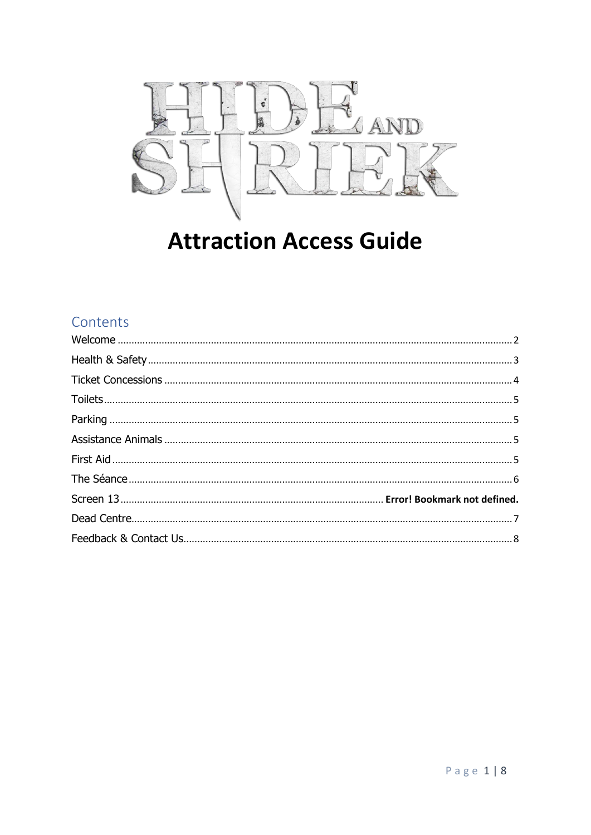

#### **Attraction Access Guide**

#### Contents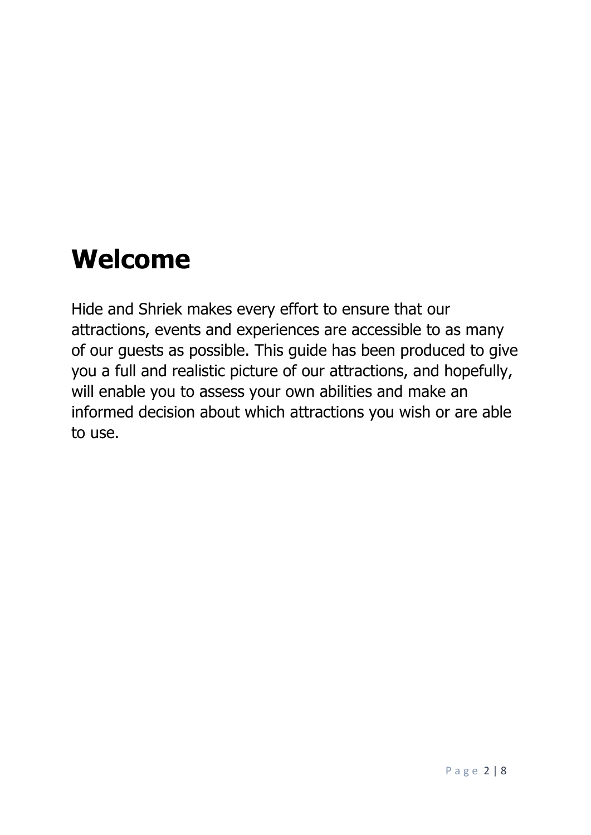#### <span id="page-1-0"></span>**Welcome**

Hide and Shriek makes every effort to ensure that our attractions, events and experiences are accessible to as many of our guests as possible. This guide has been produced to give you a full and realistic picture of our attractions, and hopefully, will enable you to assess your own abilities and make an informed decision about which attractions you wish or are able to use.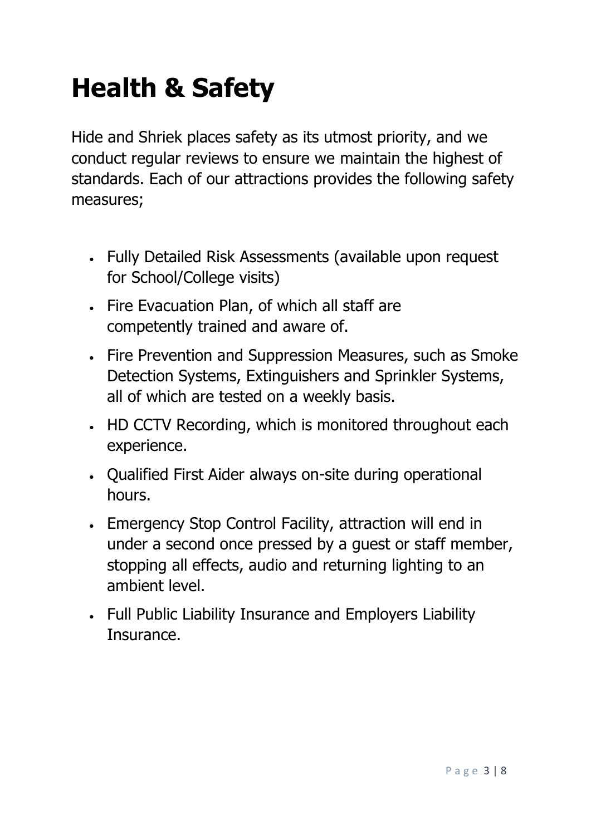## <span id="page-2-0"></span>**Health & Safety**

Hide and Shriek places safety as its utmost priority, and we conduct regular reviews to ensure we maintain the highest of standards. Each of our attractions provides the following safety measures;

- Fully Detailed Risk Assessments (available upon request for School/College visits)
- Fire Evacuation Plan, of which all staff are competently trained and aware of.
- Fire Prevention and Suppression Measures, such as Smoke Detection Systems, Extinguishers and Sprinkler Systems, all of which are tested on a weekly basis.
- HD CCTV Recording, which is monitored throughout each experience.
- Qualified First Aider always on-site during operational hours.
- Emergency Stop Control Facility, attraction will end in under a second once pressed by a guest or staff member, stopping all effects, audio and returning lighting to an ambient level.
- Full Public Liability Insurance and Employers Liability Insurance.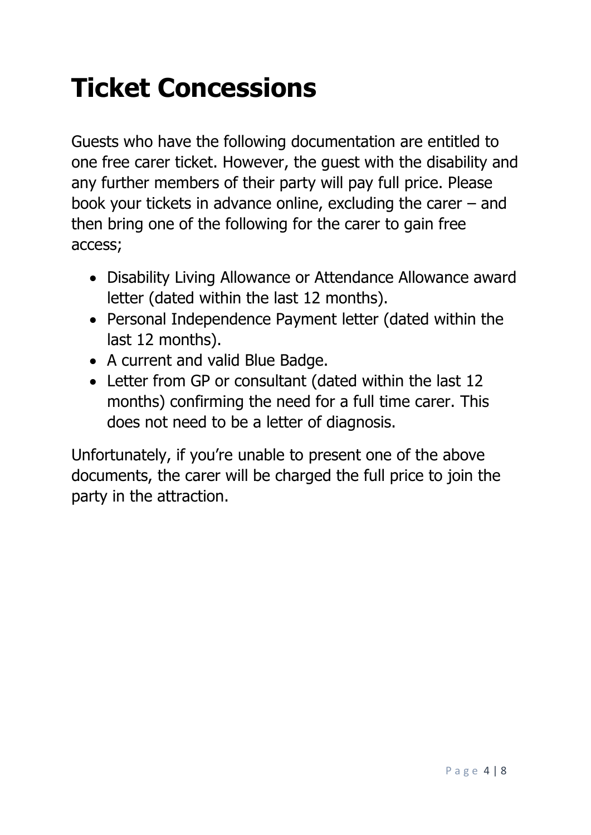## <span id="page-3-0"></span>**Ticket Concessions**

Guests who have the following documentation are entitled to one free carer ticket. However, the guest with the disability and any further members of their party will pay full price. Please book your tickets in advance online, excluding the carer – and then bring one of the following for the carer to gain free access;

- Disability Living Allowance or Attendance Allowance award letter (dated within the last 12 months).
- Personal Independence Payment letter (dated within the last 12 months).
- A current and valid Blue Badge.
- Letter from GP or consultant (dated within the last 12 months) confirming the need for a full time carer. This does not need to be a letter of diagnosis.

Unfortunately, if you're unable to present one of the above documents, the carer will be charged the full price to join the party in the attraction.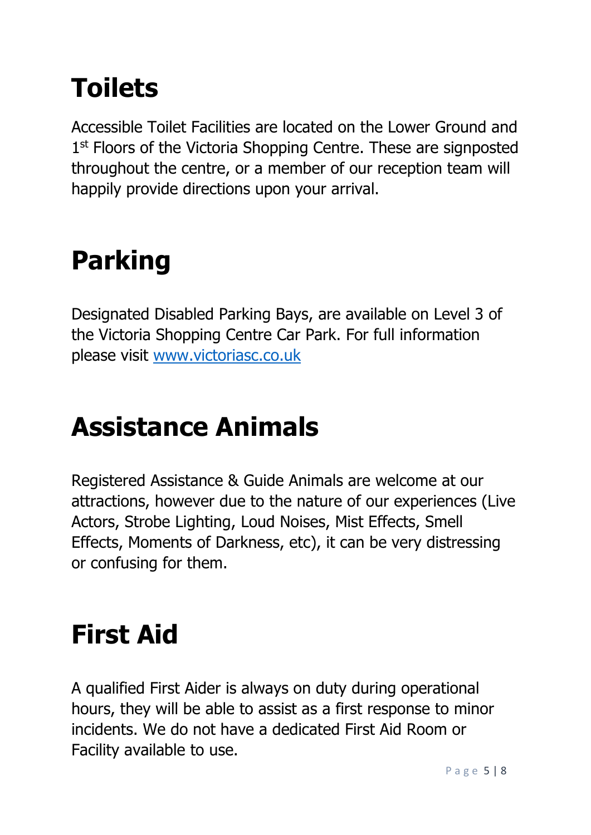# <span id="page-4-0"></span>**Toilets**

Accessible Toilet Facilities are located on the Lower Ground and 1<sup>st</sup> Floors of the Victoria Shopping Centre. These are signposted throughout the centre, or a member of our reception team will happily provide directions upon your arrival.

## <span id="page-4-1"></span>**Parking**

Designated Disabled Parking Bays, are available on Level 3 of the Victoria Shopping Centre Car Park. For full information please visit [www.victoriasc.co.uk](http://www.victoriasc.co.uk/)

## <span id="page-4-2"></span>**Assistance Animals**

Registered Assistance & Guide Animals are welcome at our attractions, however due to the nature of our experiences (Live Actors, Strobe Lighting, Loud Noises, Mist Effects, Smell Effects, Moments of Darkness, etc), it can be very distressing or confusing for them.

#### <span id="page-4-3"></span>**First Aid**

A qualified First Aider is always on duty during operational hours, they will be able to assist as a first response to minor incidents. We do not have a dedicated First Aid Room or Facility available to use.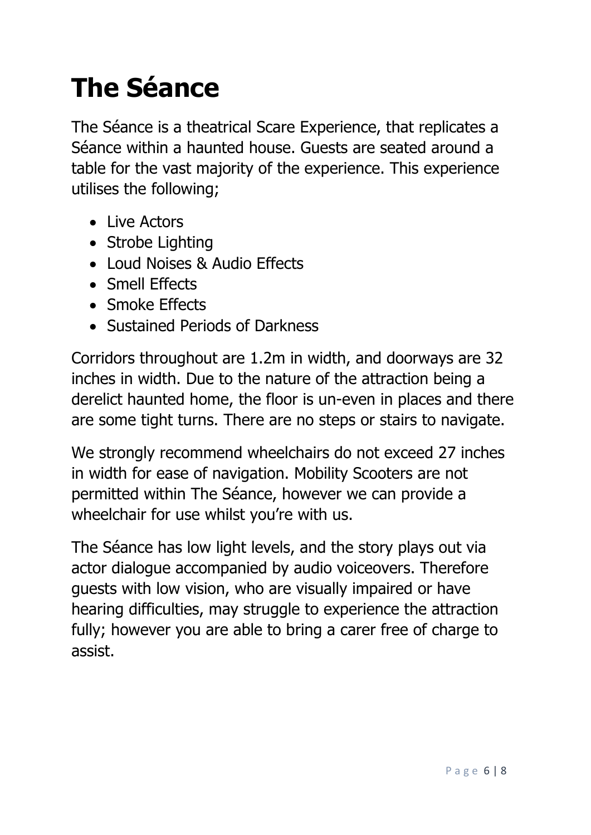# <span id="page-5-0"></span>**The Séance**

The Séance is a theatrical Scare Experience, that replicates a Séance within a haunted house. Guests are seated around a table for the vast majority of the experience. This experience utilises the following;

- Live Actors
- Strobe Lighting
- Loud Noises & Audio Effects
- Smell Effects
- Smoke Effects
- Sustained Periods of Darkness

Corridors throughout are 1.2m in width, and doorways are 32 inches in width. Due to the nature of the attraction being a derelict haunted home, the floor is un-even in places and there are some tight turns. There are no steps or stairs to navigate.

We strongly recommend wheelchairs do not exceed 27 inches in width for ease of navigation. Mobility Scooters are not permitted within The Séance, however we can provide a wheelchair for use whilst you're with us.

The Séance has low light levels, and the story plays out via actor dialogue accompanied by audio voiceovers. Therefore guests with low vision, who are visually impaired or have hearing difficulties, may struggle to experience the attraction fully; however you are able to bring a carer free of charge to assist.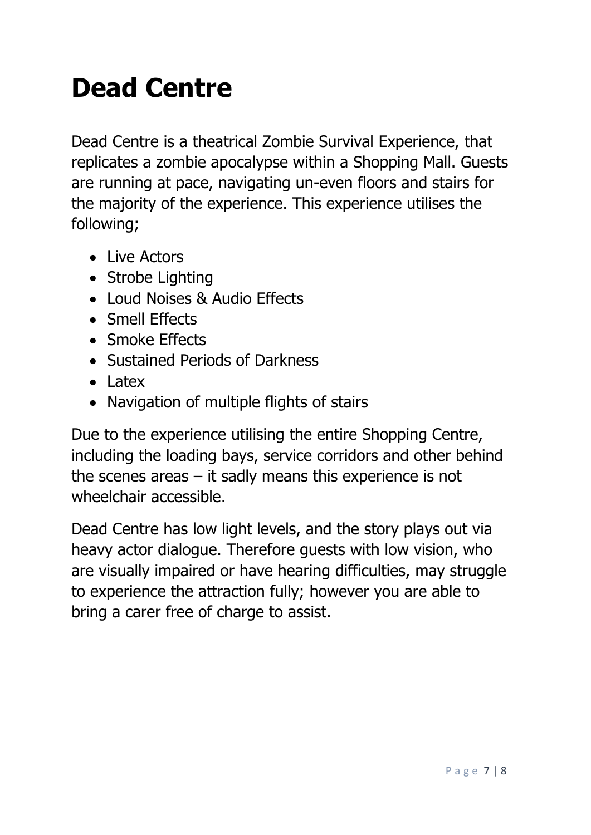### <span id="page-6-0"></span>**Dead Centre**

Dead Centre is a theatrical Zombie Survival Experience, that replicates a zombie apocalypse within a Shopping Mall. Guests are running at pace, navigating un-even floors and stairs for the majority of the experience. This experience utilises the following;

- Live Actors
- Strobe Lighting
- Loud Noises & Audio Effects
- Smell Effects
- Smoke Effects
- Sustained Periods of Darkness
- Latex
- Navigation of multiple flights of stairs

Due to the experience utilising the entire Shopping Centre, including the loading bays, service corridors and other behind the scenes areas – it sadly means this experience is not wheelchair accessible.

Dead Centre has low light levels, and the story plays out via heavy actor dialogue. Therefore guests with low vision, who are visually impaired or have hearing difficulties, may struggle to experience the attraction fully; however you are able to bring a carer free of charge to assist.